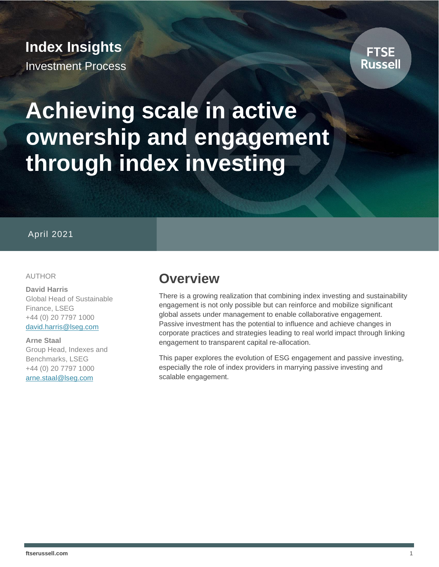# **Index Insights** Investment Process



# **Achieving scale in active ownership and engagement through index investing**

#### April 2021

#### AUTHOR

**David Harris** Global Head of Sustainable Finance, LSEG +44 (0) 20 7797 1000 [david.harris@lseg.com](mailto:david.harris@lseg.com)

**Arne Staal** Group Head, Indexes and Benchmarks, LSEG +44 (0) 20 7797 1000 [arne.staal@lseg.com](mailto:arne.staal@lseg.com)

### **Overview**

There is a growing realization that combining index investing and sustainability engagement is not only possible but can reinforce and mobilize significant global assets under management to enable collaborative engagement. Passive investment has the potential to influence and achieve changes in corporate practices and strategies leading to real world impact through linking engagement to transparent capital re-allocation.

This paper explores the evolution of ESG engagement and passive investing, especially the role of index providers in marrying passive investing and scalable engagement.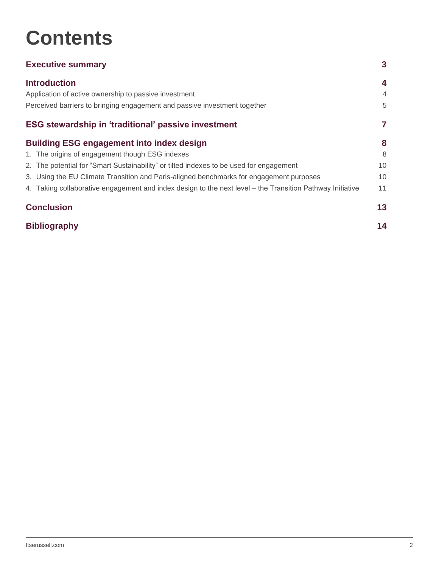# **Contents**

| <b>Executive summary</b>                                                                                  | $\mathbf{3}$   |
|-----------------------------------------------------------------------------------------------------------|----------------|
| <b>Introduction</b>                                                                                       | 4              |
| Application of active ownership to passive investment                                                     | $\overline{4}$ |
| Perceived barriers to bringing engagement and passive investment together                                 | 5              |
| <b>ESG stewardship in 'traditional' passive investment</b>                                                | 7              |
| <b>Building ESG engagement into index design</b>                                                          | 8              |
| 1. The origins of engagement though ESG indexes                                                           | 8              |
| 2. The potential for "Smart Sustainability" or tilted indexes to be used for engagement                   | 10             |
| 3. Using the EU Climate Transition and Paris-aligned benchmarks for engagement purposes                   | 10             |
| 4. Taking collaborative engagement and index design to the next level – the Transition Pathway Initiative | 11             |
| <b>Conclusion</b>                                                                                         | 13             |
| <b>Bibliography</b>                                                                                       | 14             |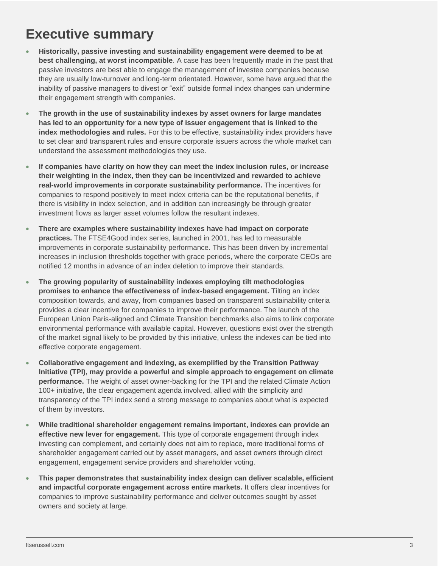## <span id="page-2-0"></span>**Executive summary**

- **Historically, passive investing and sustainability engagement were deemed to be at best challenging, at worst incompatible**. A case has been frequently made in the past that passive investors are best able to engage the management of investee companies because they are usually low-turnover and long-term orientated. However, some have argued that the inability of passive managers to divest or "exit" outside formal index changes can undermine their engagement strength with companies.
- **The growth in the use of sustainability indexes by asset owners for large mandates has led to an opportunity for a new type of issuer engagement that is linked to the index methodologies and rules.** For this to be effective, sustainability index providers have to set clear and transparent rules and ensure corporate issuers across the whole market can understand the assessment methodologies they use.
- **If companies have clarity on how they can meet the index inclusion rules, or increase their weighting in the index, then they can be incentivized and rewarded to achieve real-world improvements in corporate sustainability performance.** The incentives for companies to respond positively to meet index criteria can be the reputational benefits, if there is visibility in index selection, and in addition can increasingly be through greater investment flows as larger asset volumes follow the resultant indexes.
- **There are examples where sustainability indexes have had impact on corporate practices.** The FTSE4Good index series, launched in 2001, has led to measurable improvements in corporate sustainability performance. This has been driven by incremental increases in inclusion thresholds together with grace periods, where the corporate CEOs are notified 12 months in advance of an index deletion to improve their standards.
- **The growing popularity of sustainability indexes employing tilt methodologies promises to enhance the effectiveness of index-based engagement.** Tilting an index composition towards, and away, from companies based on transparent sustainability criteria provides a clear incentive for companies to improve their performance. The launch of the European Union Paris-aligned and Climate Transition benchmarks also aims to link corporate environmental performance with available capital. However, questions exist over the strength of the market signal likely to be provided by this initiative, unless the indexes can be tied into effective corporate engagement.
- **Collaborative engagement and indexing, as exemplified by the Transition Pathway Initiative (TPI), may provide a powerful and simple approach to engagement on climate performance.** The weight of asset owner-backing for the TPI and the related Climate Action 100+ initiative, the clear engagement agenda involved, allied with the simplicity and transparency of the TPI index send a strong message to companies about what is expected of them by investors.
- **While traditional shareholder engagement remains important, indexes can provide an effective new lever for engagement.** This type of corporate engagement through index investing can complement, and certainly does not aim to replace, more traditional forms of shareholder engagement carried out by asset managers, and asset owners through direct engagement, engagement service providers and shareholder voting.
- **This paper demonstrates that sustainability index design can deliver scalable, efficient and impactful corporate engagement across entire markets.** It offers clear incentives for companies to improve sustainability performance and deliver outcomes sought by asset owners and society at large.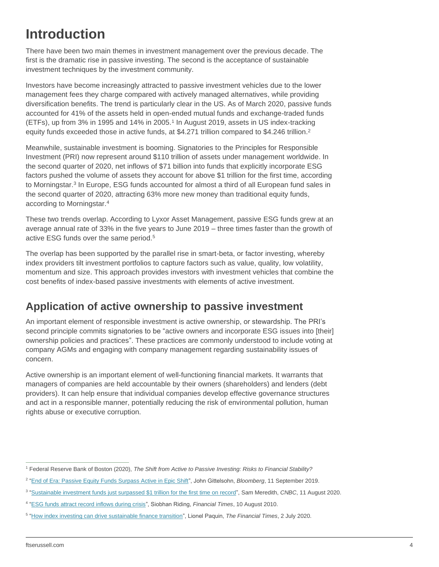# <span id="page-3-0"></span>**Introduction**

There have been two main themes in investment management over the previous decade. The first is the dramatic rise in passive investing. The second is the acceptance of sustainable investment techniques by the investment community.

Investors have become increasingly attracted to passive investment vehicles due to the lower management fees they charge compared with actively managed alternatives, while providing diversification benefits. The trend is particularly clear in the US. As of March 2020, passive funds accounted for 41% of the assets held in open-ended mutual funds and exchange-traded funds (ETFs), up from 3% in 1995 and 14% in 2005.<sup>1</sup> In August 2019, assets in US index-tracking equity funds exceeded those in active funds, at \$4.271 trillion compared to \$4.246 trillion.<sup>2</sup>

Meanwhile, sustainable investment is booming. Signatories to the Principles for Responsible Investment (PRI) now represent around \$110 trillion of assets under management worldwide. In the second quarter of 2020, net inflows of \$71 billion into funds that explicitly incorporate ESG factors pushed the volume of assets they account for above \$1 trillion for the first time, according to Morningstar.<sup>3</sup> In Europe, ESG funds accounted for almost a third of all European fund sales in the second quarter of 2020, attracting 63% more new money than traditional equity funds, according to Morningstar.<sup>4</sup>

These two trends overlap. According to Lyxor Asset Management, passive ESG funds grew at an average annual rate of 33% in the five years to June 2019 – three times faster than the growth of active ESG funds over the same period.<sup>5</sup>

The overlap has been supported by the parallel rise in smart-beta, or factor investing, whereby index providers tilt investment portfolios to capture factors such as value, quality, low volatility, momentum and size. This approach provides investors with investment vehicles that combine the cost benefits of index-based passive investments with elements of active investment.

### <span id="page-3-1"></span>**Application of active ownership to passive investment**

An important element of responsible investment is active ownership, or stewardship. The PRI's second principle commits signatories to be "active owners and incorporate ESG issues into [their] ownership policies and practices". These practices are commonly understood to include voting at company AGMs and engaging with company management regarding sustainability issues of concern.

Active ownership is an important element of well-functioning financial markets. It warrants that managers of companies are held accountable by their owners (shareholders) and lenders (debt providers). It can help ensure that individual companies develop effective governance structures and act in a responsible manner, potentially reducing the risk of environmental pollution, human rights abuse or executive corruption.

<sup>1</sup> Federal Reserve Bank of Boston (2020), *The Shift from Active to Passive Investing: Risks to Financial Stability?*

<sup>2</sup> ["End of Era: Passive Equity Funds Surpass Active in Epic Shift"](https://www.bloomberg.com/news/articles/2019-09-11/passive-u-s-equity-funds-eclipse-active-in-epic-industry-shift), John Gittelsohn, *Bloomberg*, 11 September 2019.

<sup>3</sup> ["Sustainable investment funds just surpassed \\$1 trillion for the first time on record"](https://www.cnbc.com/2020/08/11/coronavirus-esg-and-sustainable-funds-surpass-1-trillion-for-the-first-time.html), Sam Meredith, *CNBC*, 11 August 2020.

<sup>4</sup> ["ESG funds attract record inflows during crisis",](https://www.ft.com/content/27025f35-283f-4956-b6a0-0adbfd4c7a0e) Siobhan Riding, *Financial Times*, 10 August 2010.

<sup>5</sup> ["How index investing can drive sustainable finance transition"](https://www.ft.com/content/65d307c4-7379-455e-bcb2-d821b670a90f), Lionel Paquin, *The Financial Times*, 2 July 2020.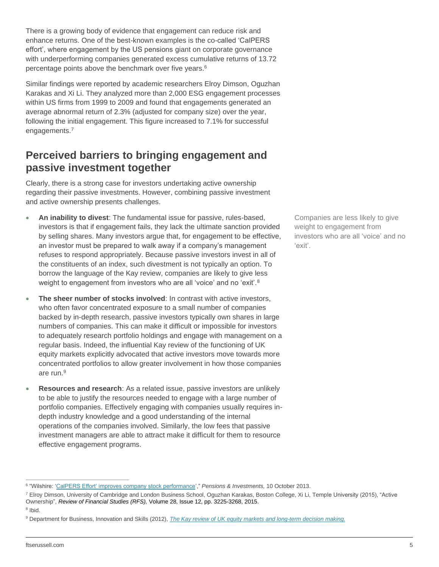There is a growing body of evidence that engagement can reduce risk and enhance returns. One of the best-known examples is the co-called 'CalPERS effort', where engagement by the US pensions giant on corporate governance with underperforming companies generated excess cumulative returns of 13.72 percentage points above the benchmark over five years.<sup>6</sup>

Similar findings were reported by academic researchers Elroy Dimson, Oguzhan Karakas and Xi Li. They analyzed more than 2,000 ESG engagement processes within US firms from 1999 to 2009 and found that engagements generated an average abnormal return of 2.3% (adjusted for company size) over the year, following the initial engagement. This figure increased to 7.1% for successful engagements.<sup>7</sup>

### <span id="page-4-0"></span>**Perceived barriers to bringing engagement and passive investment together**

Clearly, there is a strong case for investors undertaking active ownership regarding their passive investments. However, combining passive investment and active ownership presents challenges.

- **An inability to divest**: The fundamental issue for passive, rules-based, investors is that if engagement fails, they lack the ultimate sanction provided by selling shares. Many investors argue that, for engagement to be effective, an investor must be prepared to walk away if a company's management refuses to respond appropriately. Because passive investors invest in all of the constituents of an index, such divestment is not typically an option. To borrow the language of the Kay review, companies are likely to give less weight to engagement from investors who are all 'voice' and no 'exit'.<sup>8</sup>
- **The sheer number of stocks involved**: In contrast with active investors, who often favor concentrated exposure to a small number of companies backed by in-depth research, passive investors typically own shares in large numbers of companies. This can make it difficult or impossible for investors to adequately research portfolio holdings and engage with management on a regular basis. Indeed, the influential Kay review of the functioning of UK equity markets explicitly advocated that active investors move towards more concentrated portfolios to allow greater involvement in how those companies are run $9$
- **Resources and research**: As a related issue, passive investors are unlikely to be able to justify the resources needed to engage with a large number of portfolio companies. Effectively engaging with companies usually requires indepth industry knowledge and a good understanding of the internal operations of the companies involved. Similarly, the low fees that passive investment managers are able to attract make it difficult for them to resource effective engagement programs.

Companies are less likely to give weight to engagement from investors who are all 'voice' and no 'exit'.

<sup>6</sup> "Wilshire: ['CalPERS Effort' improves company stock performance',](https://www.pionline.com/article/20131010/ONLINE/131019982/wilshire-calpers-effort-improves-company-stock-performance)" *Pensions & Investments,* 10 October 2013.

<sup>&</sup>lt;sup>7</sup> Elroy Dimson, University of Cambridge and London Business School, Oguzhan Karakas, Boston College, Xi Li, Temple University (2015), "Active Ownership", *Review of Financial Studies (RFS),* Volume 28, Issue 12, pp. 3225-3268, 2015. <sup>8</sup> Ibid.

<sup>9</sup> Department for Business, Innovation and Skills (2012), *[The Kay review of UK equity markets and long-term decision making.](http://www.bis.gov.uk/assets/biscore/business-law/docs/k/12-917-kay-review-of-equity-markets-final-report.pdf)*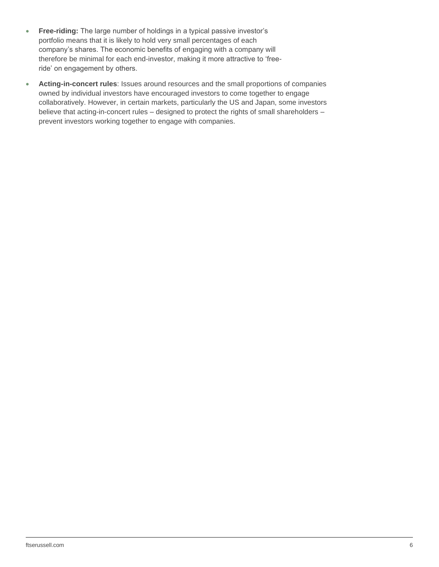- **Free-riding:** The large number of holdings in a typical passive investor's portfolio means that it is likely to hold very small percentages of each company's shares. The economic benefits of engaging with a company will therefore be minimal for each end-investor, making it more attractive to 'freeride' on engagement by others.
- **Acting-in-concert rules**: Issues around resources and the small proportions of companies owned by individual investors have encouraged investors to come together to engage collaboratively. However, in certain markets, particularly the US and Japan, some investors believe that acting-in-concert rules – designed to protect the rights of small shareholders – prevent investors working together to engage with companies.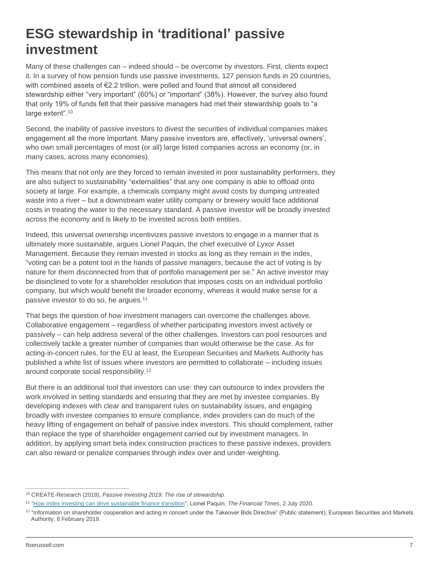## <span id="page-6-0"></span>**ESG stewardship in 'traditional' passive investment**

Many of these challenges can – indeed should – be overcome by investors. First, clients expect it. In a survey of how pension funds use passive investments, 127 pension funds in 20 countries, with combined assets of €2.2 trillion, were polled and found that almost all considered stewardship either "very important" (60%) or "important" (38%). However, the survey also found that only 19% of funds felt that their passive managers had met their stewardship goals to "a large extent".<sup>10</sup>

Second, the inability of passive investors to divest the securities of individual companies makes engagement all the more important. Many passive investors are, effectively, 'universal owners', who own small percentages of most (or all) large listed companies across an economy (or, in many cases, across many economies).

This means that not only are they forced to remain invested in poor sustainability performers, they are also subject to sustainability "externalities" that any one company is able to offload onto society at large. For example, a chemicals company might avoid costs by dumping untreated waste into a river – but a downstream water utility company or brewery would face additional costs in treating the water to the necessary standard. A passive investor will be broadly invested across the economy and is likely to be invested across both entities.

Indeed, this universal ownership incentivizes passive investors to engage in a manner that is ultimately more sustainable, argues Lionel Paquin, the chief executive of Lyxor Asset Management. Because they remain invested in stocks as long as they remain in the index, "voting can be a potent tool in the hands of passive managers, because the act of voting is by nature for them disconnected from that of portfolio management per se." An active investor may be disinclined to vote for a shareholder resolution that imposes costs on an individual portfolio company, but which would benefit the broader economy, whereas it would make sense for a passive investor to do so, he argues.<sup>11</sup>

That begs the question of how investment managers can overcome the challenges above. Collaborative engagement – regardless of whether participating investors invest actively or passively – can help address several of the other challenges. Investors can pool resources and collectively tackle a greater number of companies than would otherwise be the case. As for acting-in-concert rules, for the EU at least, the European Securities and Markets Authority has published a white list of issues where investors are permitted to collaborate – including issues around corporate social responsibility.<sup>12</sup>

But there is an additional tool that investors can use: they can outsource to index providers the work involved in setting standards and ensuring that they are met by investee companies. By developing indexes with clear and transparent rules on sustainability issues, and engaging broadly with investee companies to ensure compliance, index providers can do much of the heavy lifting of engagement on behalf of passive index investors. This should complement, rather than replace the type of shareholder engagement carried out by investment managers. In addition, by applying smart beta index construction practices to these passive indexes, providers can also reward or penalize companies through index over and under-weighting.

<sup>10</sup> CREATE-Research (2019), *Passive Investing 2019: The rise of stewardship.*

<sup>11</sup> ["How index investing can drive sustainable finance transition"](https://www.ft.com/content/65d307c4-7379-455e-bcb2-d821b670a90f), Lionel Paquin, *The Financial Times*, 2 July 2020.

<sup>&</sup>lt;sup>12</sup> "Information on shareholder cooperation and acting in concert under the Takeover Bids Directive" (Public statement), European Securities and Markets Authority, 8 February 2019.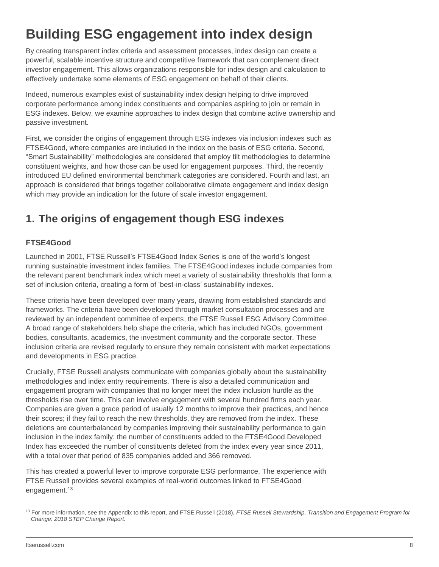# <span id="page-7-0"></span>**Building ESG engagement into index design**

By creating transparent index criteria and assessment processes, index design can create a powerful, scalable incentive structure and competitive framework that can complement direct investor engagement. This allows organizations responsible for index design and calculation to effectively undertake some elements of ESG engagement on behalf of their clients.

Indeed, numerous examples exist of sustainability index design helping to drive improved corporate performance among index constituents and companies aspiring to join or remain in ESG indexes. Below, we examine approaches to index design that combine active ownership and passive investment.

First, we consider the origins of engagement through ESG indexes via inclusion indexes such as FTSE4Good, where companies are included in the index on the basis of ESG criteria. Second, "Smart Sustainability" methodologies are considered that employ tilt methodologies to determine constituent weights, and how those can be used for engagement purposes. Third, the recently introduced EU defined environmental benchmark categories are considered. Fourth and last, an approach is considered that brings together collaborative climate engagement and index design which may provide an indication for the future of scale investor engagement.

### <span id="page-7-1"></span>**1. The origins of engagement though ESG indexes**

#### **FTSE4Good**

Launched in 2001, FTSE Russell's FTSE4Good Index Series is one of the world's longest running sustainable investment index families. The FTSE4Good indexes include companies from the relevant parent benchmark index which meet a variety of sustainability thresholds that form a set of inclusion criteria, creating a form of 'best-in-class' sustainability indexes.

These criteria have been developed over many years, drawing from established standards and frameworks. The criteria have been developed through market consultation processes and are reviewed by an independent committee of experts, the FTSE Russell ESG Advisory Committee. A broad range of stakeholders help shape the criteria, which has included NGOs, government bodies, consultants, academics, the investment community and the corporate sector. These inclusion criteria are revised regularly to ensure they remain consistent with market expectations and developments in ESG practice.

Crucially, FTSE Russell analysts communicate with companies globally about the sustainability methodologies and index entry requirements. There is also a detailed communication and engagement program with companies that no longer meet the index inclusion hurdle as the thresholds rise over time. This can involve engagement with several hundred firms each year. Companies are given a grace period of usually 12 months to improve their practices, and hence their scores; if they fail to reach the new thresholds, they are removed from the index. These deletions are counterbalanced by companies improving their sustainability performance to gain inclusion in the index family: the number of constituents added to the FTSE4Good Developed Index has exceeded the number of constituents deleted from the index every year since 2011, with a total over that period of 835 companies added and 366 removed.

This has created a powerful lever to improve corporate ESG performance. The experience with FTSE Russell provides several examples of real-world outcomes linked to FTSE4Good engagement.<sup>13</sup>

<sup>13</sup> For more information, see the Appendix to this report, and FTSE Russell (2018), *FTSE Russell Stewardship, Transition and Engagement Program for Change: 2018 STEP Change Report.*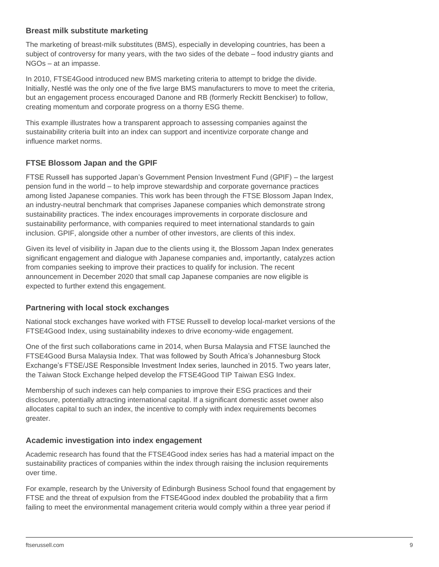#### **Breast milk substitute marketing**

The marketing of breast-milk substitutes (BMS), especially in developing countries, has been a subject of controversy for many years, with the two sides of the debate – food industry giants and NGOs – at an impasse.

In 2010, FTSE4Good introduced new BMS marketing criteria to attempt to bridge the divide. Initially, Nestlé was the only one of the five large BMS manufacturers to move to meet the criteria, but an engagement process encouraged Danone and RB (formerly Reckitt Benckiser) to follow, creating momentum and corporate progress on a thorny ESG theme.

This example illustrates how a transparent approach to assessing companies against the sustainability criteria built into an index can support and incentivize corporate change and influence market norms.

#### **FTSE Blossom Japan and the GPIF**

FTSE Russell has supported Japan's Government Pension Investment Fund (GPIF) – the largest pension fund in the world ‒ to help improve stewardship and corporate governance practices among listed Japanese companies. This work has been through the FTSE Blossom Japan Index, an industry-neutral benchmark that comprises Japanese companies which demonstrate strong sustainability practices. The index encourages improvements in corporate disclosure and sustainability performance, with companies required to meet international standards to gain inclusion. GPIF, alongside other a number of other investors, are clients of this index.

Given its level of visibility in Japan due to the clients using it, the Blossom Japan Index generates significant engagement and dialogue with Japanese companies and, importantly, catalyzes action from companies seeking to improve their practices to qualify for inclusion. The recent announcement in December 2020 that small cap Japanese companies are now eligible is expected to further extend this engagement.

#### **Partnering with local stock exchanges**

National stock exchanges have worked with FTSE Russell to develop local-market versions of the FTSE4Good Index, using sustainability indexes to drive economy-wide engagement.

One of the first such collaborations came in 2014, when Bursa Malaysia and FTSE launched the FTSE4Good Bursa Malaysia Index. That was followed by South Africa's Johannesburg Stock Exchange's FTSE/JSE Responsible Investment Index series, launched in 2015. Two years later, the Taiwan Stock Exchange helped develop the FTSE4Good TIP Taiwan ESG Index.

Membership of such indexes can help companies to improve their ESG practices and their disclosure, potentially attracting international capital. If a significant domestic asset owner also allocates capital to such an index, the incentive to comply with index requirements becomes greater.

#### **Academic investigation into index engagement**

Academic research has found that the FTSE4Good index series has had a material impact on the sustainability practices of companies within the index through raising the inclusion requirements over time.

For example, research by the University of Edinburgh Business School found that engagement by FTSE and the threat of expulsion from the FTSE4Good index doubled the probability that a firm failing to meet the environmental management criteria would comply within a three year period if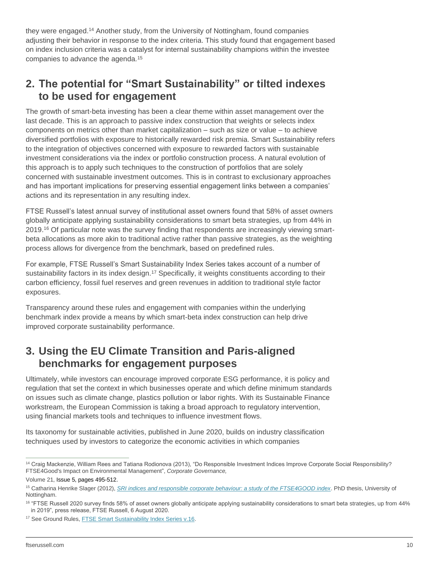they were engaged. <sup>14</sup> Another study, from the University of Nottingham, found companies adjusting their behavior in response to the index criteria. This study found that engagement based on index inclusion criteria was a catalyst for internal sustainability champions within the investee companies to advance the agenda.<sup>15</sup>

### <span id="page-9-0"></span>**2. The potential for "Smart Sustainability" or tilted indexes to be used for engagement**

The growth of smart-beta investing has been a clear theme within asset management over the last decade. This is an approach to passive index construction that weights or selects index components on metrics other than market capitalization  $-$  such as size or value  $-$  to achieve diversified portfolios with exposure to historically rewarded risk premia. Smart Sustainability refers to the integration of objectives concerned with exposure to rewarded factors with sustainable investment considerations via the index or portfolio construction process. A natural evolution of this approach is to apply such techniques to the construction of portfolios that are solely concerned with sustainable investment outcomes. This is in contrast to exclusionary approaches and has important implications for preserving essential engagement links between a companies' actions and its representation in any resulting index.

FTSE Russell's latest annual survey of institutional asset owners found that 58% of asset owners globally anticipate applying sustainability considerations to smart beta strategies, up from 44% in 2019.<sup>16</sup> Of particular note was the survey finding that respondents are increasingly viewing smartbeta allocations as more akin to traditional active rather than passive strategies, as the weighting process allows for divergence from the benchmark, based on predefined rules.

For example, FTSE Russell's Smart Sustainability Index Series takes account of a number of sustainability factors in its index design.<sup>17</sup> Specifically, it weights constituents according to their carbon efficiency, fossil fuel reserves and green revenues in addition to traditional style factor exposures.

Transparency around these rules and engagement with companies within the underlying benchmark index provide a means by which smart-beta index construction can help drive improved corporate sustainability performance.

### <span id="page-9-1"></span>**3. Using the EU Climate Transition and Paris-aligned benchmarks for engagement purposes**

Ultimately, while investors can encourage improved corporate ESG performance, it is policy and regulation that set the context in which businesses operate and which define minimum standards on issues such as climate change, plastics pollution or labor rights. With its Sustainable Finance workstream, the European Commission is taking a broad approach to regulatory intervention, using financial markets tools and techniques to influence investment flows.

Its taxonomy for sustainable activities, published in June 2020, builds on industry classification techniques used by investors to categorize the economic activities in which companies

<sup>&</sup>lt;sup>14</sup> Craig Mackenzie, William Rees and Tatiana Rodionova (2013), "Do Responsible Investment Indices Improve Corporate Social Responsibility? FTSE4Good's Impact on Environmental Management", *Corporate Governance,* 

Volume 21, Issue 5, pages 495-512.

<sup>15</sup> Catharina Henrike Slager (2012), *[SRI indices and responsible corporate behaviour: a study of the FTSE4GOOD index](http://eprints.nottingham.ac.uk/13709/1/575493.pdf)*. PhD thesis, University of Nottingham.

<sup>&</sup>lt;sup>16</sup> "FTSE Russell 2020 survey finds 58% of asset owners globally anticipate applying sustainability considerations to smart beta strategies, up from 44% in 2019", press release, FTSE Russell, 6 August 2020.

<sup>&</sup>lt;sup>17</sup> See Ground Rules, **FTSE Smart Sustainability Index Series v.16.**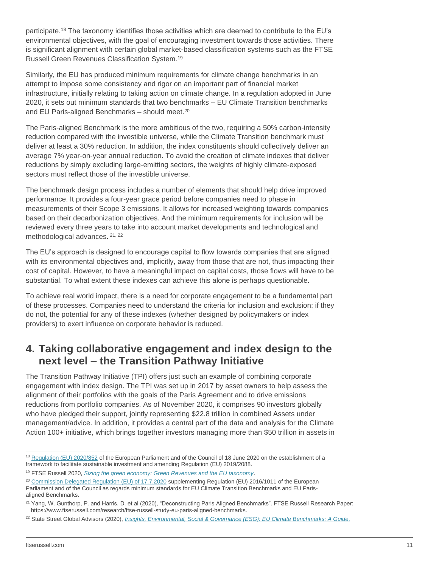participate.<sup>18</sup> The taxonomy identifies those activities which are deemed to contribute to the EU's environmental objectives, with the goal of encouraging investment towards those activities. There is significant alignment with certain global market-based classification systems such as the FTSE Russell Green Revenues Classification System.<sup>19</sup>

Similarly, the EU has produced minimum requirements for climate change benchmarks in an attempt to impose some consistency and rigor on an important part of financial market infrastructure, initially relating to taking action on climate change. In a regulation adopted in June 2020, it sets out minimum standards that two benchmarks – EU Climate Transition benchmarks and EU Paris-aligned Benchmarks – should meet.<sup>20</sup>

The Paris-aligned Benchmark is the more ambitious of the two, requiring a 50% carbon-intensity reduction compared with the investible universe, while the Climate Transition benchmark must deliver at least a 30% reduction. In addition, the index constituents should collectively deliver an average 7% year-on-year annual reduction. To avoid the creation of climate indexes that deliver reductions by simply excluding large-emitting sectors, the weights of highly climate-exposed sectors must reflect those of the investible universe.

The benchmark design process includes a number of elements that should help drive improved performance. It provides a four-year grace period before companies need to phase in measurements of their Scope 3 emissions. It allows for increased weighting towards companies based on their decarbonization objectives. And the minimum requirements for inclusion will be reviewed every three years to take into account market developments and technological and methodological advances. 21, <sup>22</sup>

The EU's approach is designed to encourage capital to flow towards companies that are aligned with its environmental objectives and, implicitly, away from those that are not, thus impacting their cost of capital. However, to have a meaningful impact on capital costs, those flows will have to be substantial. To what extent these indexes can achieve this alone is perhaps questionable.

To achieve real world impact, there is a need for corporate engagement to be a fundamental part of these processes. Companies need to understand the criteria for inclusion and exclusion; if they do not, the potential for any of these indexes (whether designed by policymakers or index providers) to exert influence on corporate behavior is reduced.

### <span id="page-10-0"></span>**4. Taking collaborative engagement and index design to the next level ‒ the Transition Pathway Initiative**

The Transition Pathway Initiative (TPI) offers just such an example of combining corporate engagement with index design. The TPI was set up in 2017 by asset owners to help assess the alignment of their portfolios with the goals of the Paris Agreement and to drive emissions reductions from portfolio companies. As of November 2020, it comprises 90 investors globally who have pledged their support, jointly representing \$22.8 trillion in combined Assets under management/advice. In addition, it provides a central part of the data and analysis for the Climate Action 100+ initiative, which brings together investors managing more than \$50 trillion in assets in

<sup>&</sup>lt;sup>18</sup> [Regulation \(EU\) 2020/852](https://eur-lex.europa.eu/legal-content/EN/TXT/?uri=CELEX:32020R0852) of the European Parliament and of the Council of 18 June 2020 on the establishment of a framework to facilitate sustainable investment and amending Regulation (EU) 2019/2088.

<sup>19</sup> FTSE Russell 2020, *[Sizing the green economy: Green Revenues and the EU taxonomy](https://www.ftserussell.com/research/sizing-green-economy-green-revenues-and-eu-taxonomy)*.

<sup>&</sup>lt;sup>20</sup> [Commission Delegated Regulation \(EU\) of 17.7.2020](https://ec.europa.eu/finance/docs/level-2-measures/benchmarks-delegated-act-2020-4757_en.pdf) supplementing Regulation (EU) 2016/1011 of the European Parliament and of the Council as regards minimum standards for EU Climate Transition Benchmarks and EU Parisaligned Benchmarks.

<sup>&</sup>lt;sup>21</sup> Yang, W. Gunthorp, P. and Harris, D. et al (2020), "Deconstructing Paris Aligned Benchmarks". FTSE Russell Research Paper: https://www.ftserussell.com/research/ftse-russell-study-eu-paris-aligned-benchmarks.

<sup>22</sup> State Street Global Advisors (2020), *[Insights, Environmental, Social & Governance \(ESG\): EU Climate Benchmarks: A Guide.](https://www.ssga.com/content/dam/ssmp/library-content/pdfs/insights/eu-climate-benchmarks-a-guide.pdf)*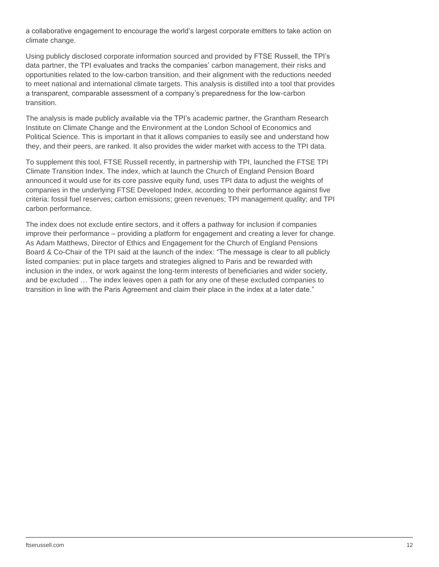a collaborative engagement to encourage the world's largest corporate emitters to take action on climate change.

Using publicly disclosed corporate information sourced and provided by FTSE Russell, the TPI's data partner, the TPI evaluates and tracks the companies' carbon management, their risks and opportunities related to the low-carbon transition, and their alignment with the reductions needed to meet national and international climate targets. This analysis is distilled into a tool that provides a transparent, comparable assessment of a company's preparedness for the low-carbon transition.

The analysis is made publicly available via the TPI's academic partner, the Grantham Research Institute on Climate Change and the Environment at the London School of Economics and Political Science. This is important in that it allows companies to easily see and understand how they, and their peers, are ranked. It also provides the wider market with access to the TPI data.

To supplement this tool, FTSE Russell recently, in partnership with TPI, launched the FTSE TPI Climate Transition Index. The index, which at launch the Church of England Pension Board announced it would use for its core passive equity fund, uses TPI data to adjust the weights of companies in the underlying FTSE Developed Index, according to their performance against five criteria: fossil fuel reserves; carbon emissions; green revenues; TPI management quality; and TPI carbon performance.

The index does not exclude entire sectors, and it offers a pathway for inclusion if companies improve their performance – providing a platform for engagement and creating a lever for change. As Adam Matthews, Director of Ethics and Engagement for the Church of England Pensions Board & Co-Chair of the TPI said at the launch of the index: "The message is clear to all publicly listed companies: put in place targets and strategies aligned to Paris and be rewarded with inclusion in the index, or work against the long-term interests of beneficiaries and wider society, and be excluded … The index leaves open a path for any one of these excluded companies to transition in line with the Paris Agreement and claim their place in the index at a later date."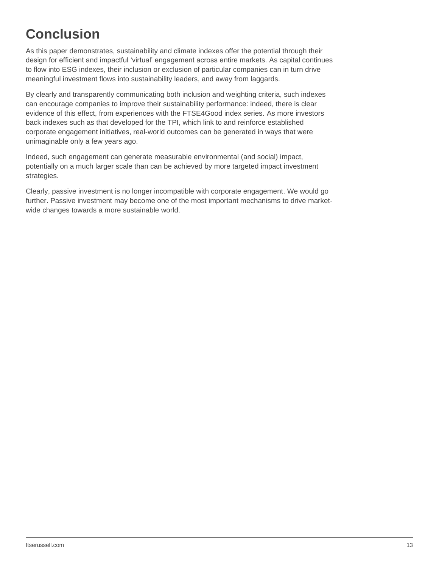# <span id="page-12-0"></span>**Conclusion**

As this paper demonstrates, sustainability and climate indexes offer the potential through their design for efficient and impactful 'virtual' engagement across entire markets. As capital continues to flow into ESG indexes, their inclusion or exclusion of particular companies can in turn drive meaningful investment flows into sustainability leaders, and away from laggards.

By clearly and transparently communicating both inclusion and weighting criteria, such indexes can encourage companies to improve their sustainability performance: indeed, there is clear evidence of this effect, from experiences with the FTSE4Good index series. As more investors back indexes such as that developed for the TPI, which link to and reinforce established corporate engagement initiatives, real-world outcomes can be generated in ways that were unimaginable only a few years ago.

Indeed, such engagement can generate measurable environmental (and social) impact, potentially on a much larger scale than can be achieved by more targeted impact investment strategies.

Clearly, passive investment is no longer incompatible with corporate engagement. We would go further. Passive investment may become one of the most important mechanisms to drive marketwide changes towards a more sustainable world.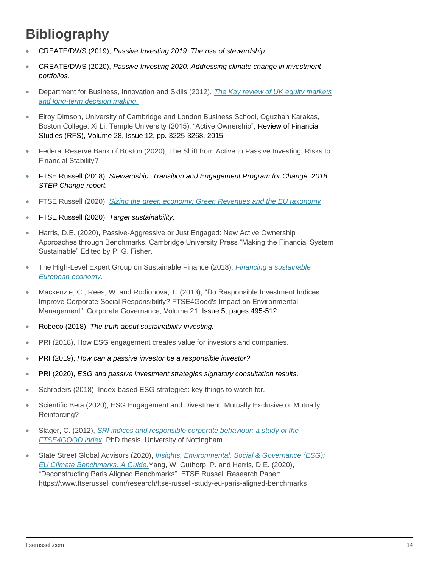# <span id="page-13-0"></span>**Bibliography**

- CREATE/DWS (2019), *Passive Investing 2019: The rise of stewardship.*
- CREATE/DWS (2020), *Passive Investing 2020: Addressing climate change in investment portfolios.*
- Department for Business, Innovation and Skills (2012), *[The Kay review of UK equity markets](http://www.bis.gov.uk/assets/biscore/business-law/docs/k/12-917-kay-review-of-equity-markets-final-report.pdf)  [and long-term decision making.](http://www.bis.gov.uk/assets/biscore/business-law/docs/k/12-917-kay-review-of-equity-markets-final-report.pdf)*
- Elroy Dimson, University of Cambridge and London Business School, Oguzhan Karakas, Boston College, Xi Li, Temple University (2015), "Active Ownership", Review of Financial Studies (RFS), Volume 28, Issue 12, pp. 3225-3268, 2015.
- Federal Reserve Bank of Boston (2020), The Shift from Active to Passive Investing: Risks to Financial Stability?
- FTSE Russell (2018), *Stewardship, Transition and Engagement Program for Change, 2018 STEP Change report.*
- FTSE Russell (2020), *[Sizing the green economy: Green Revenues and the EU taxonomy](https://www.ftserussell.com/research/sizing-green-economy-green-revenues-and-eu-taxonomy)*
- FTSE Russell (2020), *Target sustainability.*
- Harris, D.E. (2020), Passive-Aggressive or Just Engaged: New Active Ownership Approaches through Benchmarks. Cambridge University Press "Making the Financial System Sustainable" Edited by P. G. Fisher.
- The High-Level Expert Group on Sustainable Finance (2018), *[Financing a sustainable](https://ec.europa.eu/info/sites/info/files/180131-sustainable-finance-final-report_en.pdf)  [European economy.](https://ec.europa.eu/info/sites/info/files/180131-sustainable-finance-final-report_en.pdf)*
- Mackenzie, C., Rees, W. and Rodionova, T. (2013), "Do Responsible Investment Indices Improve Corporate Social Responsibility? FTSE4Good's Impact on Environmental Management", Corporate Governance, Volume 21, Issue 5, pages 495-512.
- Robeco (2018), *The truth about sustainability investing.*
- PRI (2018), How ESG engagement creates value for investors and companies.
- PRI (2019), *How can a passive investor be a responsible investor?*
- PRI (2020), *ESG and passive investment strategies signatory consultation results.*
- Schroders (2018), Index-based ESG strategies: key things to watch for.
- Scientific Beta (2020), ESG Engagement and Divestment: Mutually Exclusive or Mutually Reinforcing?
- Slager, C. (2012), *[SRI indices and responsible corporate behaviour:](http://eprints.nottingham.ac.uk/13709/1/575493.pdf) a study of the [FTSE4GOOD index](http://eprints.nottingham.ac.uk/13709/1/575493.pdf)*. PhD thesis, University of Nottingham.
- State Street Global Advisors (2020), *[Insights, Environmental, Social & Governance \(ESG\):](https://www.ssga.com/content/dam/ssmp/library-content/pdfs/insights/eu-climate-benchmarks-a-guide.pdf)  [EU Climate Benchmarks: A Guide.](https://www.ssga.com/content/dam/ssmp/library-content/pdfs/insights/eu-climate-benchmarks-a-guide.pdf)*Yang, W. Guthorp, P. and Harris, D.E. (2020), "Deconstructing Paris Aligned Benchmarks". FTSE Russell Research Paper: https://www.ftserussell.com/research/ftse-russell-study-eu-paris-aligned-benchmarks